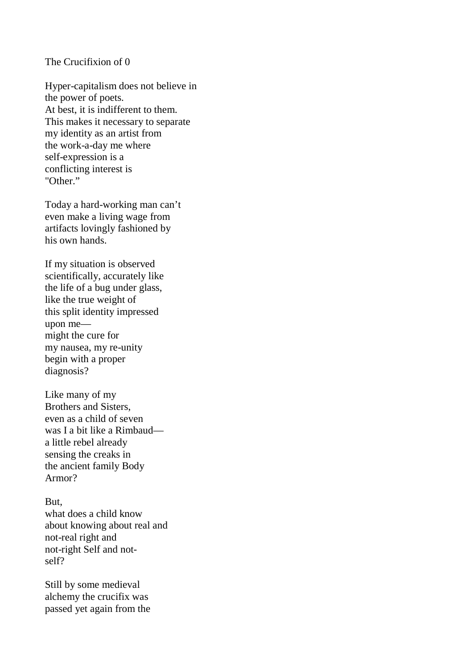## The Crucifixion of 0

Hyper-capitalism does not believe in the power of poets. At best, it is indifferent to them. This makes it necessary to separate my identity as an artist from the work-a-day me where self-expression is a conflicting interest is "Other"

Today a hard-working man can't even make a living wage from artifacts lovingly fashioned by his own hands.

If my situation is observed scientifically, accurately like the life of a bug under glass, like the true weight of this split identity impressed upon me might the cure for my nausea, my re-unity begin with a proper diagnosis?

Like many of my Brothers and Sisters, even as a child of seven was I a bit like a Rimbaud a little rebel already sensing the creaks in the ancient family Body Armor?

But, what does a child know about knowing about real and not-real right and not-right Self and notself?

Still by some medieval alchemy the crucifix was passed yet again from the